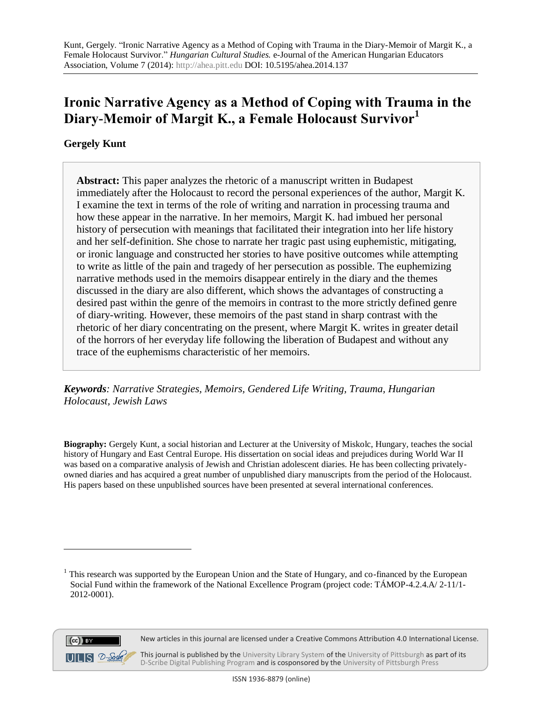# **Ironic Narrative Agency as a Method of Coping with Trauma in the Diary-Memoir of Margit K., a Female Holocaust Survivor<sup>1</sup>**

**Gergely Kunt**

**Abstract:** This paper analyzes the rhetoric of a manuscript written in Budapest immediately after the Holocaust to record the personal experiences of the author, Margit K. I examine the text in terms of the role of writing and narration in processing trauma and how these appear in the narrative. In her memoirs, Margit K. had imbued her personal history of persecution with meanings that facilitated their integration into her life history and her self-definition. She chose to narrate her tragic past using euphemistic, mitigating, or ironic language and constructed her stories to have positive outcomes while attempting to write as little of the pain and tragedy of her persecution as possible. The euphemizing narrative methods used in the memoirs disappear entirely in the diary and the themes discussed in the diary are also different, which shows the advantages of constructing a desired past within the genre of the memoirs in contrast to the more strictly defined genre of diary-writing. However, these memoirs of the past stand in sharp contrast with the rhetoric of her diary concentrating on the present, where Margit K. writes in greater detail of the horrors of her everyday life following the liberation of Budapest and without any trace of the euphemisms characteristic of her memoirs.

*Keywords: Narrative Strategies, Memoirs, Gendered Life Writing, Trauma, Hungarian Holocaust, Jewish Laws*

**Biography:** Gergely Kunt, a social historian and Lecturer at the University of Miskolc, Hungary, teaches the social history of Hungary and East Central Europe. His dissertation on social ideas and prejudices during World War II was based on a comparative analysis of Jewish and Christian adolescent diaries. He has been collecting privatelyowned diaries and has acquired a great number of unpublished diary manuscripts from the period of the Holocaust. His papers based on these unpublished sources have been presented at several international conferences.

<sup>&</sup>lt;sup>1</sup> This research was supported by the European Union and the State of Hungary, and co-financed by the European Social Fund within the framework of the National Excellence Program (project code: TÁMOP-4.2.4.A/ 2-11/1- 2012-0001).



 $\overline{a}$ 

This journal is published by th[e University Library System](http://www.library.pitt.edu/) of th[e University of Pittsburgh](http://www.pitt.edu/) as part of its [D-Scribe Digital Publishing Program](http://www.library.pitt.edu/articles/digpubtype/index.html) and is cosponsored by the [University of Pittsburgh Press](http://upress.pitt.edu/)

New articles in this journal are licensed under a Creative Commons Attribution 4.0 International License.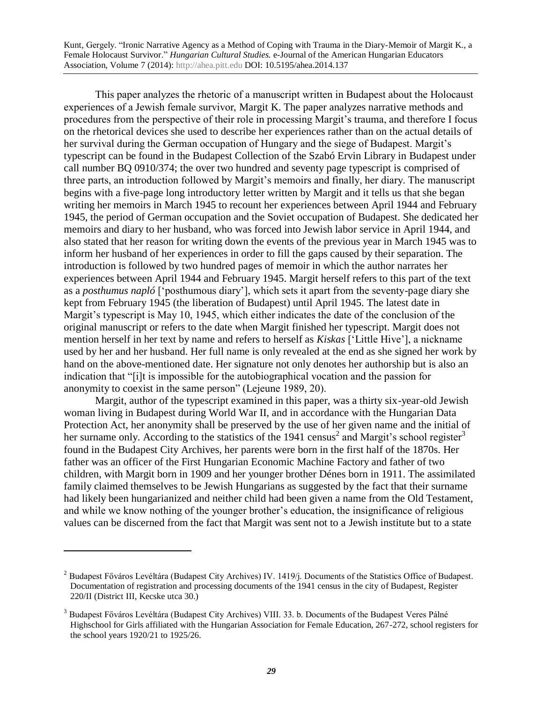This paper analyzes the rhetoric of a manuscript written in Budapest about the Holocaust experiences of a Jewish female survivor, Margit K. The paper analyzes narrative methods and procedures from the perspective of their role in processing Margit's trauma, and therefore I focus on the rhetorical devices she used to describe her experiences rather than on the actual details of her survival during the German occupation of Hungary and the siege of Budapest. Margit's typescript can be found in the Budapest Collection of the Szabó Ervin Library in Budapest under call number BQ 0910/374; the over two hundred and seventy page typescript is comprised of three parts, an introduction followed by Margit's memoirs and finally, her diary. The manuscript begins with a five-page long introductory letter written by Margit and it tells us that she began writing her memoirs in March 1945 to recount her experiences between April 1944 and February 1945, the period of German occupation and the Soviet occupation of Budapest. She dedicated her memoirs and diary to her husband, who was forced into Jewish labor service in April 1944, and also stated that her reason for writing down the events of the previous year in March 1945 was to inform her husband of her experiences in order to fill the gaps caused by their separation. The introduction is followed by two hundred pages of memoir in which the author narrates her experiences between April 1944 and February 1945. Margit herself refers to this part of the text as a *posthumus napló* ['posthumous diary'], which sets it apart from the seventy-page diary she kept from February 1945 (the liberation of Budapest) until April 1945. The latest date in Margit's typescript is May 10, 1945, which either indicates the date of the conclusion of the original manuscript or refers to the date when Margit finished her typescript. Margit does not mention herself in her text by name and refers to herself as *Kiskas* ['Little Hive'], a nickname used by her and her husband. Her full name is only revealed at the end as she signed her work by hand on the above-mentioned date. Her signature not only denotes her authorship but is also an indication that "[i]t is impossible for the autobiographical vocation and the passion for anonymity to coexist in the same person" (Lejeune 1989, 20).

Margit, author of the typescript examined in this paper, was a thirty six-year-old Jewish woman living in Budapest during World War II, and in accordance with the Hungarian Data Protection Act, her anonymity shall be preserved by the use of her given name and the initial of her surname only. According to the statistics of the 1941 census<sup>2</sup> and Margit's school register<sup>3</sup> found in the Budapest City Archives, her parents were born in the first half of the 1870s. Her father was an officer of the First Hungarian Economic Machine Factory and father of two children, with Margit born in 1909 and her younger brother Dénes born in 1911. The assimilated family claimed themselves to be Jewish Hungarians as suggested by the fact that their surname had likely been hungarianized and neither child had been given a name from the Old Testament, and while we know nothing of the younger brother's education, the insignificance of religious values can be discerned from the fact that Margit was sent not to a Jewish institute but to a state

 $\overline{a}$ 

<sup>&</sup>lt;sup>2</sup> Budapest Főváros Levéltára (Budapest City Archives) IV. 1419/j. Documents of the Statistics Office of Budapest. Documentation of registration and processing documents of the 1941 census in the city of Budapest, Register 220/II (District III, Kecske utca 30.)

<sup>&</sup>lt;sup>3</sup> Budapest Főváros Levéltára (Budapest City Archives) VIII. 33. b. Documents of the Budapest Veres Pálné Highschool for Girls affiliated with the Hungarian Association for Female Education, 267-272, school registers for the school years 1920/21 to 1925/26.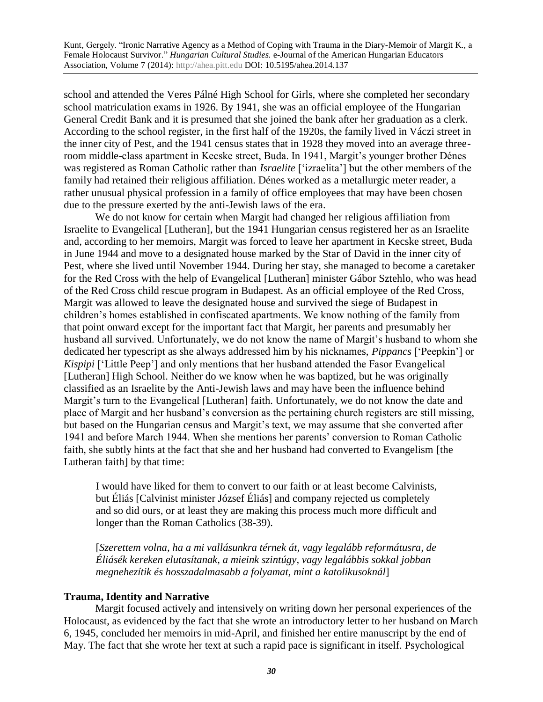school and attended the Veres Pálné High School for Girls, where she completed her secondary school matriculation exams in 1926. By 1941, she was an official employee of the Hungarian General Credit Bank and it is presumed that she joined the bank after her graduation as a clerk. According to the school register, in the first half of the 1920s, the family lived in Váczi street in the inner city of Pest, and the 1941 census states that in 1928 they moved into an average threeroom middle-class apartment in Kecske street, Buda. In 1941, Margit's younger brother Dénes was registered as Roman Catholic rather than *Israelite* ['izraelita'] but the other members of the family had retained their religious affiliation. Dénes worked as a metallurgic meter reader, a rather unusual physical profession in a family of office employees that may have been chosen due to the pressure exerted by the anti-Jewish laws of the era.

We do not know for certain when Margit had changed her religious affiliation from Israelite to Evangelical [Lutheran], but the 1941 Hungarian census registered her as an Israelite and, according to her memoirs, Margit was forced to leave her apartment in Kecske street, Buda in June 1944 and move to a designated house marked by the Star of David in the inner city of Pest, where she lived until November 1944. During her stay, she managed to become a caretaker for the Red Cross with the help of Evangelical [Lutheran] minister Gábor Sztehlo, who was head of the Red Cross child rescue program in Budapest. As an official employee of the Red Cross, Margit was allowed to leave the designated house and survived the siege of Budapest in children's homes established in confiscated apartments. We know nothing of the family from that point onward except for the important fact that Margit, her parents and presumably her husband all survived. Unfortunately, we do not know the name of Margit's husband to whom she dedicated her typescript as she always addressed him by his nicknames, *Pippancs* ['Peepkin'] or *Kispipi* ['Little Peep'] and only mentions that her husband attended the Fasor Evangelical [Lutheran] High School. Neither do we know when he was baptized, but he was originally classified as an Israelite by the Anti-Jewish laws and may have been the influence behind Margit's turn to the Evangelical [Lutheran] faith. Unfortunately, we do not know the date and place of Margit and her husband's conversion as the pertaining church registers are still missing, but based on the Hungarian census and Margit's text, we may assume that she converted after 1941 and before March 1944. When she mentions her parents' conversion to Roman Catholic faith, she subtly hints at the fact that she and her husband had converted to Evangelism [the Lutheran faith] by that time:

I would have liked for them to convert to our faith or at least become Calvinists, but Éliás [Calvinist minister József Éliás] and company rejected us completely and so did ours, or at least they are making this process much more difficult and longer than the Roman Catholics (38-39).

[*Szerettem volna, ha a mi vallásunkra térnek át, vagy legalább reformátusra, de Éliásék kereken elutasítanak, a mieink szintúgy, vagy legalábbis sokkal jobban megnehezítik és hosszadalmasabb a folyamat, mint a katolikusoknál*]

## **Trauma, Identity and Narrative**

Margit focused actively and intensively on writing down her personal experiences of the Holocaust, as evidenced by the fact that she wrote an introductory letter to her husband on March 6, 1945, concluded her memoirs in mid-April, and finished her entire manuscript by the end of May. The fact that she wrote her text at such a rapid pace is significant in itself. Psychological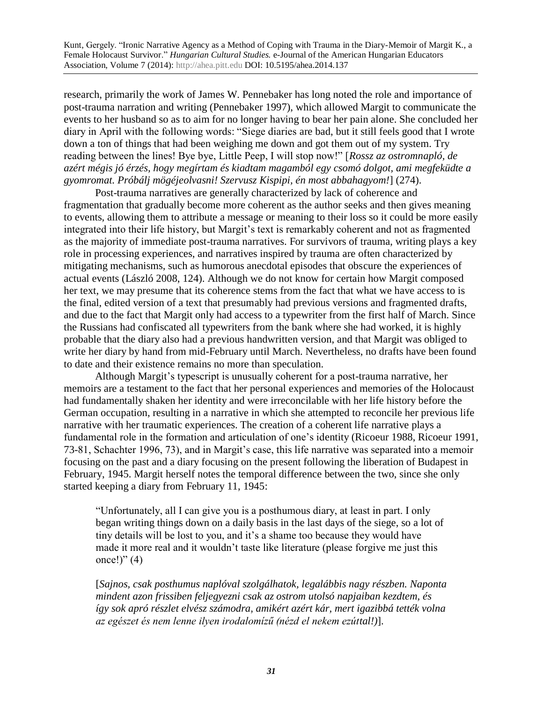research, primarily the work of James W. Pennebaker has long noted the role and importance of post-trauma narration and writing (Pennebaker 1997), which allowed Margit to communicate the events to her husband so as to aim for no longer having to bear her pain alone. She concluded her diary in April with the following words: "Siege diaries are bad, but it still feels good that I wrote down a ton of things that had been weighing me down and got them out of my system. Try reading between the lines! Bye bye, Little Peep, I will stop now!" [*Rossz az ostromnapló, de azért mégis jó érzés, hogy megírtam és kiadtam magamból egy csomó dolgot, ami megfeküdte a gyomromat. Próbálj mögéjeolvasni! Szervusz Kispipi, én most abbahagyom!*] (274).

Post-trauma narratives are generally characterized by lack of coherence and fragmentation that gradually become more coherent as the author seeks and then gives meaning to events, allowing them to attribute a message or meaning to their loss so it could be more easily integrated into their life history, but Margit's text is remarkably coherent and not as fragmented as the majority of immediate post-trauma narratives. For survivors of trauma, writing plays a key role in processing experiences, and narratives inspired by trauma are often characterized by mitigating mechanisms, such as humorous anecdotal episodes that obscure the experiences of actual events (László 2008, 124). Although we do not know for certain how Margit composed her text, we may presume that its coherence stems from the fact that what we have access to is the final, edited version of a text that presumably had previous versions and fragmented drafts, and due to the fact that Margit only had access to a typewriter from the first half of March. Since the Russians had confiscated all typewriters from the bank where she had worked, it is highly probable that the diary also had a previous handwritten version, and that Margit was obliged to write her diary by hand from mid-February until March. Nevertheless, no drafts have been found to date and their existence remains no more than speculation.

Although Margit's typescript is unusually coherent for a post-trauma narrative, her memoirs are a testament to the fact that her personal experiences and memories of the Holocaust had fundamentally shaken her identity and were irreconcilable with her life history before the German occupation, resulting in a narrative in which she attempted to reconcile her previous life narrative with her traumatic experiences. The creation of a coherent life narrative plays a fundamental role in the formation and articulation of one's identity (Ricoeur 1988, Ricoeur 1991, 73-81, Schachter 1996, 73), and in Margit's case, this life narrative was separated into a memoir focusing on the past and a diary focusing on the present following the liberation of Budapest in February, 1945. Margit herself notes the temporal difference between the two, since she only started keeping a diary from February 11, 1945:

"Unfortunately, all I can give you is a posthumous diary, at least in part. I only began writing things down on a daily basis in the last days of the siege, so a lot of tiny details will be lost to you, and it's a shame too because they would have made it more real and it wouldn't taste like literature (please forgive me just this once!)"  $(4)$ 

[*Sajnos, csak posthumus naplóval szolgálhatok, legalábbis nagy részben. Naponta mindent azon frissiben feljegyezni csak az ostrom utolsó napjaiban kezdtem, és így sok apró részlet elvész számodra, amikért azért kár, mert igazibbá tették volna az egészet és nem lenne ilyen irodalomízű (nézd el nekem ezúttal!)*].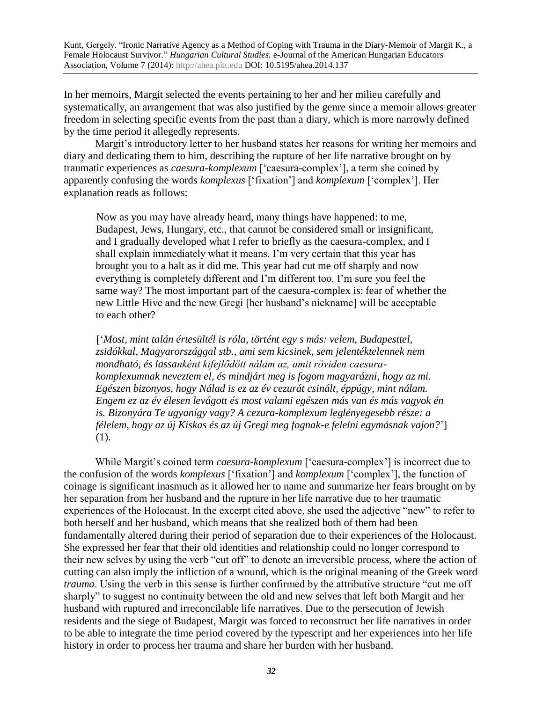In her memoirs, Margit selected the events pertaining to her and her milieu carefully and systematically, an arrangement that was also justified by the genre since a memoir allows greater freedom in selecting specific events from the past than a diary, which is more narrowly defined by the time period it allegedly represents.

Margit's introductory letter to her husband states her reasons for writing her memoirs and diary and dedicating them to him, describing the rupture of her life narrative brought on by traumatic experiences as *caesura-komplexum* ['caesura-complex'], a term she coined by apparently confusing the words *komplexus* ['fixation'] and *komplexum* ['complex']. Her explanation reads as follows:

Now as you may have already heard, many things have happened: to me, Budapest, Jews, Hungary, etc., that cannot be considered small or insignificant, and I gradually developed what I refer to briefly as the caesura-complex, and I shall explain immediately what it means. I'm very certain that this year has brought you to a halt as it did me. This year had cut me off sharply and now everything is completely different and I'm different too. I'm sure you feel the same way? The most important part of the caesura-complex is: fear of whether the new Little Hive and the new Gregi [her husband's nickname] will be acceptable to each other?

['*Most, mint talán értesültél is róla, történt egy s más: velem, Budapesttel, zsidókkal, Magyarországgal stb., ami sem kicsinek, sem jelentéktelennek nem mondható, és lassanként kifejlődött nálam az, amit röviden caesurakomplexumnak neveztem el, és mindjárt meg is fogom magyarázni, hogy az mi. Egészen bizonyos, hogy Nálad is ez az év cezurát csinált, éppúgy, mint nálam. Engem ez az év élesen levágott és most valami egészen más van és más vagyok én is. Bizonyára Te ugyanígy vagy? A cezura-komplexum leglényegesebb része: a félelem, hogy az új Kiskas és az új Gregi meg fognak-e felelni egymásnak vajon?*'] (1).

While Margit's coined term *caesura-komplexum* ['caesura-complex'] is incorrect due to the confusion of the words *komplexus* ['fixation'] and *komplexum* ['complex'], the function of coinage is significant inasmuch as it allowed her to name and summarize her fears brought on by her separation from her husband and the rupture in her life narrative due to her traumatic experiences of the Holocaust. In the excerpt cited above, she used the adjective "new" to refer to both herself and her husband, which means that she realized both of them had been fundamentally altered during their period of separation due to their experiences of the Holocaust. She expressed her fear that their old identities and relationship could no longer correspond to their new selves by using the verb "cut off" to denote an irreversible process, where the action of cutting can also imply the infliction of a wound, which is the original meaning of the Greek word *trauma*. Using the verb in this sense is further confirmed by the attributive structure "cut me off" sharply" to suggest no continuity between the old and new selves that left both Margit and her husband with ruptured and irreconcilable life narratives. Due to the persecution of Jewish residents and the siege of Budapest, Margit was forced to reconstruct her life narratives in order to be able to integrate the time period covered by the typescript and her experiences into her life history in order to process her trauma and share her burden with her husband.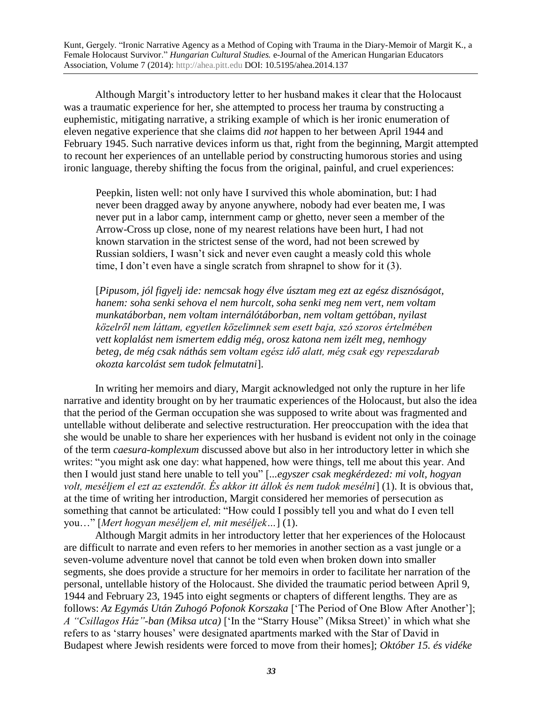Although Margit's introductory letter to her husband makes it clear that the Holocaust was a traumatic experience for her, she attempted to process her trauma by constructing a euphemistic, mitigating narrative, a striking example of which is her ironic enumeration of eleven negative experience that she claims did *not* happen to her between April 1944 and February 1945. Such narrative devices inform us that, right from the beginning, Margit attempted to recount her experiences of an untellable period by constructing humorous stories and using ironic language, thereby shifting the focus from the original, painful, and cruel experiences:

Peepkin, listen well: not only have I survived this whole abomination, but: I had never been dragged away by anyone anywhere, nobody had ever beaten me, I was never put in a labor camp, internment camp or ghetto, never seen a member of the Arrow-Cross up close, none of my nearest relations have been hurt, I had not known starvation in the strictest sense of the word, had not been screwed by Russian soldiers, I wasn't sick and never even caught a measly cold this whole time, I don't even have a single scratch from shrapnel to show for it (3).

[*Pipusom, jól figyelj ide: nemcsak hogy élve úsztam meg ezt az egész disznóságot, hanem: soha senki sehova el nem hurcolt, soha senki meg nem vert, nem voltam munkatáborban, nem voltam internálótáborban, nem voltam gettóban, nyilast közelről nem láttam, egyetlen közelimnek sem esett baja, szó szoros értelmében vett koplalást nem ismertem eddig még, orosz katona nem izélt meg, nemhogy beteg, de még csak náthás sem voltam egész idő alatt, még csak egy repeszdarab okozta karcolást sem tudok felmutatni*].

In writing her memoirs and diary, Margit acknowledged not only the rupture in her life narrative and identity brought on by her traumatic experiences of the Holocaust, but also the idea that the period of the German occupation she was supposed to write about was fragmented and untellable without deliberate and selective restructuration. Her preoccupation with the idea that she would be unable to share her experiences with her husband is evident not only in the coinage of the term *caesura-komplexum* discussed above but also in her introductory letter in which she writes: "you might ask one day: what happened, how were things, tell me about this year. And then I would just stand here unable to tell you" [*...egyszer csak megkérdezed: mi volt, hogyan volt, meséljem el ezt az esztendőt. És akkor itt állok és nem tudok mesélni*] (1). It is obvious that, at the time of writing her introduction, Margit considered her memories of persecution as something that cannot be articulated: "How could I possibly tell you and what do I even tell you…" [*Mert hogyan meséljem el, mit meséljek…*] (1).

Although Margit admits in her introductory letter that her experiences of the Holocaust are difficult to narrate and even refers to her memories in another section as a vast jungle or a seven-volume adventure novel that cannot be told even when broken down into smaller segments, she does provide a structure for her memoirs in order to facilitate her narration of the personal, untellable history of the Holocaust. She divided the traumatic period between April 9, 1944 and February 23, 1945 into eight segments or chapters of different lengths. They are as follows: *Az Egymás Után Zuhogó Pofonok Korszaka* ['The Period of One Blow After Another']; *A "Csillagos Ház"-ban (Miksa utca)* ['In the "Starry House" (Miksa Street)' in which what she refers to as 'starry houses' were designated apartments marked with the Star of David in Budapest where Jewish residents were forced to move from their homes]; *Október 15. és vidéke*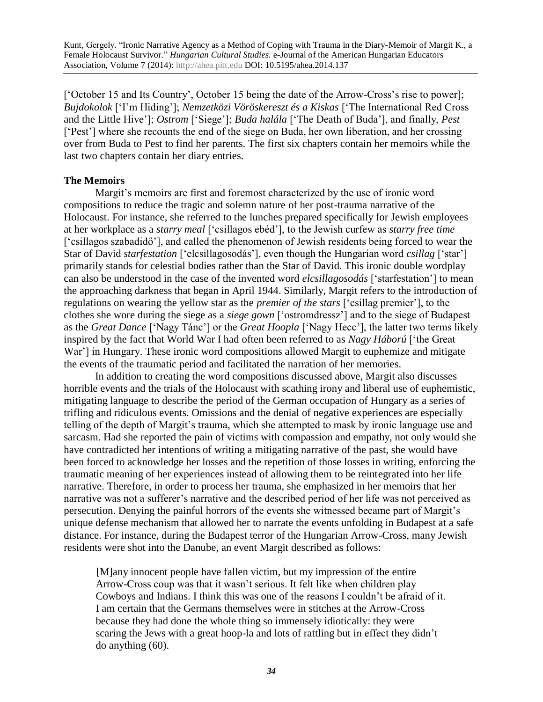['October 15 and Its Country', October 15 being the date of the Arrow-Cross's rise to power]; *Bujdokolok* ['I'm Hiding']; *Nemzetközi Vöröskereszt és a Kiskas* ['The International Red Cross and the Little Hive']; *Ostrom* ['Siege']; *Buda halála* ['The Death of Buda'], and finally, *Pest* ['Pest'] where she recounts the end of the siege on Buda, her own liberation, and her crossing over from Buda to Pest to find her parents. The first six chapters contain her memoirs while the last two chapters contain her diary entries.

## **The Memoirs**

Margit's memoirs are first and foremost characterized by the use of ironic word compositions to reduce the tragic and solemn nature of her post-trauma narrative of the Holocaust. For instance, she referred to the lunches prepared specifically for Jewish employees at her workplace as a *starry meal* ['csillagos ebéd'], to the Jewish curfew as *starry free time* ['csillagos szabadidő'], and called the phenomenon of Jewish residents being forced to wear the Star of David *starfestation* ['elcsillagosodás'], even though the Hungarian word *csillag* ['star'] primarily stands for celestial bodies rather than the Star of David. This ironic double wordplay can also be understood in the case of the invented word *elcsillagosodás* ['starfestation'] to mean the approaching darkness that began in April 1944. Similarly, Margit refers to the introduction of regulations on wearing the yellow star as the *premier of the stars* ['csillag premier'], to the clothes she wore during the siege as a *siege gown* ['ostromdressz'] and to the siege of Budapest as the *Great Dance* ['Nagy Tánc'] or the *Great Hoopla* ['Nagy Hecc'], the latter two terms likely inspired by the fact that World War I had often been referred to as *Nagy Háború* ['the Great War'] in Hungary. These ironic word compositions allowed Margit to euphemize and mitigate the events of the traumatic period and facilitated the narration of her memories.

In addition to creating the word compositions discussed above, Margit also discusses horrible events and the trials of the Holocaust with scathing irony and liberal use of euphemistic, mitigating language to describe the period of the German occupation of Hungary as a series of trifling and ridiculous events. Omissions and the denial of negative experiences are especially telling of the depth of Margit's trauma, which she attempted to mask by ironic language use and sarcasm. Had she reported the pain of victims with compassion and empathy, not only would she have contradicted her intentions of writing a mitigating narrative of the past, she would have been forced to acknowledge her losses and the repetition of those losses in writing, enforcing the traumatic meaning of her experiences instead of allowing them to be reintegrated into her life narrative. Therefore, in order to process her trauma, she emphasized in her memoirs that her narrative was not a sufferer's narrative and the described period of her life was not perceived as persecution. Denying the painful horrors of the events she witnessed became part of Margit's unique defense mechanism that allowed her to narrate the events unfolding in Budapest at a safe distance. For instance, during the Budapest terror of the Hungarian Arrow-Cross, many Jewish residents were shot into the Danube, an event Margit described as follows:

[M]any innocent people have fallen victim, but my impression of the entire Arrow-Cross coup was that it wasn't serious. It felt like when children play Cowboys and Indians. I think this was one of the reasons I couldn't be afraid of it. I am certain that the Germans themselves were in stitches at the Arrow-Cross because they had done the whole thing so immensely idiotically: they were scaring the Jews with a great hoop-la and lots of rattling but in effect they didn't do anything (60).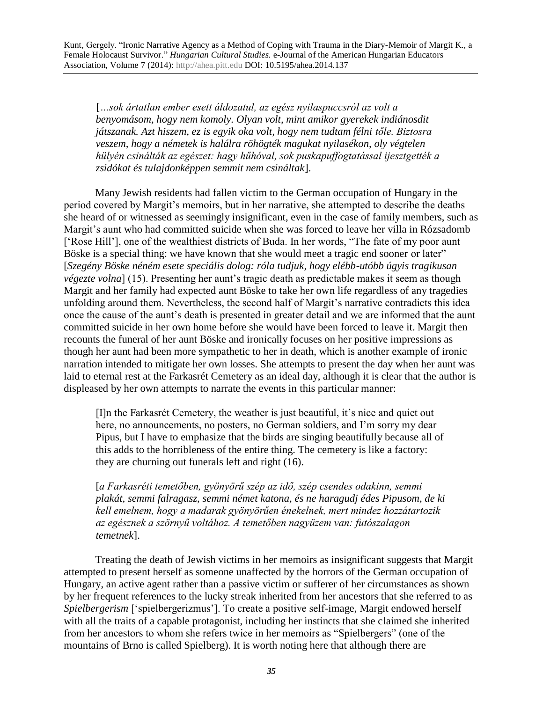[*…sok ártatlan ember esett áldozatul, az egész nyilaspuccsról az volt a benyomásom, hogy nem komoly. Olyan volt, mint amikor gyerekek indiánosdit játszanak. Azt hiszem, ez is egyik oka volt, hogy nem tudtam félni tőle. Biztosra veszem, hogy a németek is halálra röhögték magukat nyilasékon, oly végtelen hülyén csinálták az egészet: hagy hűhóval, sok puskapuffogtatással ijesztgették a zsidókat és tulajdonképpen semmit nem csináltak*].

Many Jewish residents had fallen victim to the German occupation of Hungary in the period covered by Margit's memoirs, but in her narrative, she attempted to describe the deaths she heard of or witnessed as seemingly insignificant, even in the case of family members, such as Margit's aunt who had committed suicide when she was forced to leave her villa in Rózsadomb ['Rose Hill'], one of the wealthiest districts of Buda. In her words, "The fate of my poor aunt Böske is a special thing: we have known that she would meet a tragic end sooner or later" [*Szegény Böske néném esete speciális dolog: róla tudjuk, hogy elébb-utóbb úgyis tragikusan végezte volna*] (15). Presenting her aunt's tragic death as predictable makes it seem as though Margit and her family had expected aunt Böske to take her own life regardless of any tragedies unfolding around them. Nevertheless, the second half of Margit's narrative contradicts this idea once the cause of the aunt's death is presented in greater detail and we are informed that the aunt committed suicide in her own home before she would have been forced to leave it. Margit then recounts the funeral of her aunt Böske and ironically focuses on her positive impressions as though her aunt had been more sympathetic to her in death, which is another example of ironic narration intended to mitigate her own losses. She attempts to present the day when her aunt was laid to eternal rest at the Farkasrét Cemetery as an ideal day, although it is clear that the author is displeased by her own attempts to narrate the events in this particular manner:

[I]n the Farkasrét Cemetery, the weather is just beautiful, it's nice and quiet out here, no announcements, no posters, no German soldiers, and I'm sorry my dear Pipus, but I have to emphasize that the birds are singing beautifully because all of this adds to the horribleness of the entire thing. The cemetery is like a factory: they are churning out funerals left and right (16).

[*a Farkasréti temetőben, gyönyörű szép az idő, szép csendes odakinn, semmi plakát, semmi falragasz, semmi német katona, és ne haragudj édes Pipusom, de ki kell emelnem, hogy a madarak gyönyörűen énekelnek, mert mindez hozzátartozik az egésznek a szörnyű voltához. A temetőben nagyüzem van: futószalagon temetnek*].

Treating the death of Jewish victims in her memoirs as insignificant suggests that Margit attempted to present herself as someone unaffected by the horrors of the German occupation of Hungary, an active agent rather than a passive victim or sufferer of her circumstances as shown by her frequent references to the lucky streak inherited from her ancestors that she referred to as *Spielbergerism* ['spielbergerizmus']. To create a positive self-image, Margit endowed herself with all the traits of a capable protagonist, including her instincts that she claimed she inherited from her ancestors to whom she refers twice in her memoirs as "Spielbergers" (one of the mountains of Brno is called Spielberg). It is worth noting here that although there are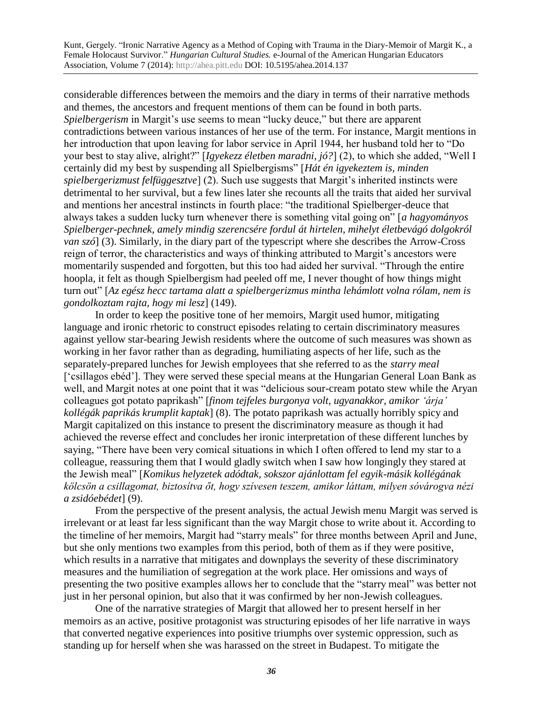considerable differences between the memoirs and the diary in terms of their narrative methods and themes, the ancestors and frequent mentions of them can be found in both parts. *Spielbergerism* in Margit's use seems to mean "lucky deuce," but there are apparent contradictions between various instances of her use of the term. For instance, Margit mentions in her introduction that upon leaving for labor service in April 1944, her husband told her to "Do your best to stay alive, alright?" [*Igyekezz életben maradni, jó?*] (2), to which she added, "Well I certainly did my best by suspending all Spielbergisms" [*Hát én igyekeztem is, minden spielbergerizmust felfüggesztve*] (2). Such use suggests that Margit's inherited instincts were detrimental to her survival, but a few lines later she recounts all the traits that aided her survival and mentions her ancestral instincts in fourth place: "the traditional Spielberger-deuce that always takes a sudden lucky turn whenever there is something vital going on" [*a hagyományos Spielberger-pechnek, amely mindig szerencsére fordul át hirtelen, mihelyt életbevágó dolgokról van szó*] (3). Similarly, in the diary part of the typescript where she describes the Arrow-Cross reign of terror, the characteristics and ways of thinking attributed to Margit's ancestors were momentarily suspended and forgotten, but this too had aided her survival. "Through the entire hoopla*,* it felt as though Spielbergism had peeled off me, I never thought of how things might turn out" [*Az egész hecc tartama alatt a spielbergerizmus mintha lehámlott volna rólam, nem is gondolkoztam rajta, hogy mi lesz*] (149).

In order to keep the positive tone of her memoirs, Margit used humor, mitigating language and ironic rhetoric to construct episodes relating to certain discriminatory measures against yellow star-bearing Jewish residents where the outcome of such measures was shown as working in her favor rather than as degrading, humiliating aspects of her life, such as the separately-prepared lunches for Jewish employees that she referred to as the *starry meal* ['csillagos ebéd']. They were served these special means at the Hungarian General Loan Bank as well, and Margit notes at one point that it was "delicious sour-cream potato stew while the Aryan colleagues got potato paprikash" [*finom tejfeles burgonya volt, ugyanakkor, amikor 'árja' kollégák paprikás krumplit kaptak*] (8). The potato paprikash was actually horribly spicy and Margit capitalized on this instance to present the discriminatory measure as though it had achieved the reverse effect and concludes her ironic interpretation of these different lunches by saying, "There have been very comical situations in which I often offered to lend my star to a colleague, reassuring them that I would gladly switch when I saw how longingly they stared at the Jewish meal" [*Komikus helyzetek adódtak, sokszor ajánlottam fel egyik-másik kollégának kölcsön a csillagomat, biztosítva őt, hogy szívesen teszem, amikor láttam, milyen sóvárogva nézi a zsidóebédet*] (9).

From the perspective of the present analysis, the actual Jewish menu Margit was served is irrelevant or at least far less significant than the way Margit chose to write about it. According to the timeline of her memoirs, Margit had "starry meals" for three months between April and June, but she only mentions two examples from this period, both of them as if they were positive, which results in a narrative that mitigates and downplays the severity of these discriminatory measures and the humiliation of segregation at the work place. Her omissions and ways of presenting the two positive examples allows her to conclude that the "starry meal" was better not just in her personal opinion, but also that it was confirmed by her non-Jewish colleagues.

One of the narrative strategies of Margit that allowed her to present herself in her memoirs as an active, positive protagonist was structuring episodes of her life narrative in ways that converted negative experiences into positive triumphs over systemic oppression, such as standing up for herself when she was harassed on the street in Budapest. To mitigate the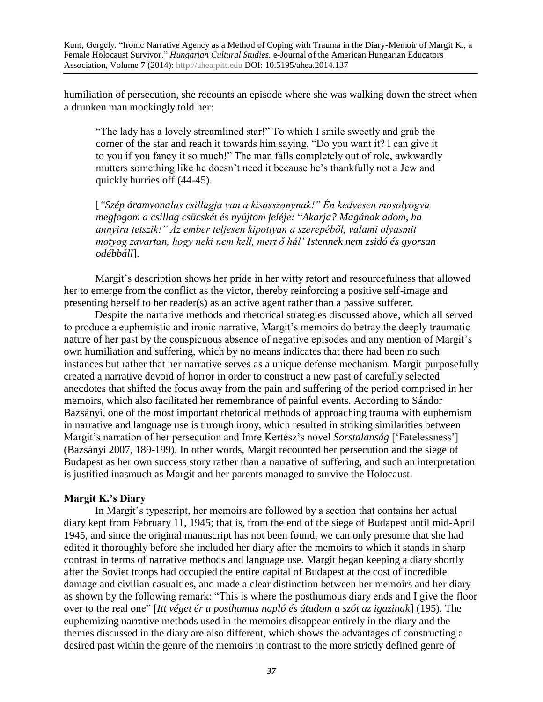humiliation of persecution, she recounts an episode where she was walking down the street when a drunken man mockingly told her:

"The lady has a lovely streamlined star!" To which I smile sweetly and grab the corner of the star and reach it towards him saying, "Do you want it? I can give it to you if you fancy it so much!" The man falls completely out of role, awkwardly mutters something like he doesn't need it because he's thankfully not a Jew and quickly hurries off (44-45).

[*"Szép áramvonalas csillagja van a kisasszonynak!" Én kedvesen mosolyogva megfogom a csillag csücskét és nyújtom feléje:* "*Akarja? Magának adom, ha annyira tetszik!" Az ember teljesen kipottyan a szerepéből, valami olyasmit motyog zavartan, hogy neki nem kell, mert ő hál' Istennek nem zsidó és gyorsan odébbáll*].

Margit's description shows her pride in her witty retort and resourcefulness that allowed her to emerge from the conflict as the victor, thereby reinforcing a positive self-image and presenting herself to her reader(s) as an active agent rather than a passive sufferer.

Despite the narrative methods and rhetorical strategies discussed above, which all served to produce a euphemistic and ironic narrative, Margit's memoirs do betray the deeply traumatic nature of her past by the conspicuous absence of negative episodes and any mention of Margit's own humiliation and suffering, which by no means indicates that there had been no such instances but rather that her narrative serves as a unique defense mechanism. Margit purposefully created a narrative devoid of horror in order to construct a new past of carefully selected anecdotes that shifted the focus away from the pain and suffering of the period comprised in her memoirs, which also facilitated her remembrance of painful events. According to Sándor Bazsányi, one of the most important rhetorical methods of approaching trauma with euphemism in narrative and language use is through irony, which resulted in striking similarities between Margit's narration of her persecution and Imre Kertész's novel *Sorstalanság* ['Fatelessness'] (Bazsányi 2007, 189-199). In other words, Margit recounted her persecution and the siege of Budapest as her own success story rather than a narrative of suffering, and such an interpretation is justified inasmuch as Margit and her parents managed to survive the Holocaust.

## **Margit K.'s Diary**

In Margit's typescript, her memoirs are followed by a section that contains her actual diary kept from February 11, 1945; that is, from the end of the siege of Budapest until mid-April 1945, and since the original manuscript has not been found, we can only presume that she had edited it thoroughly before she included her diary after the memoirs to which it stands in sharp contrast in terms of narrative methods and language use. Margit began keeping a diary shortly after the Soviet troops had occupied the entire capital of Budapest at the cost of incredible damage and civilian casualties, and made a clear distinction between her memoirs and her diary as shown by the following remark: "This is where the posthumous diary ends and I give the floor over to the real one" [*Itt véget ér a posthumus napló és átadom a szót az igazinak*] (195). The euphemizing narrative methods used in the memoirs disappear entirely in the diary and the themes discussed in the diary are also different, which shows the advantages of constructing a desired past within the genre of the memoirs in contrast to the more strictly defined genre of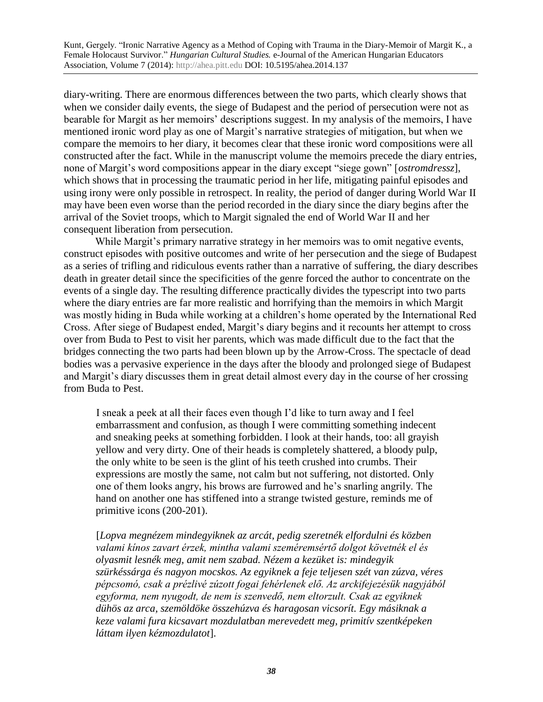diary-writing. There are enormous differences between the two parts, which clearly shows that when we consider daily events, the siege of Budapest and the period of persecution were not as bearable for Margit as her memoirs' descriptions suggest. In my analysis of the memoirs, I have mentioned ironic word play as one of Margit's narrative strategies of mitigation, but when we compare the memoirs to her diary, it becomes clear that these ironic word compositions were all constructed after the fact. While in the manuscript volume the memoirs precede the diary entries, none of Margit's word compositions appear in the diary except "siege gown" [*ostromdressz*], which shows that in processing the traumatic period in her life, mitigating painful episodes and using irony were only possible in retrospect. In reality, the period of danger during World War II may have been even worse than the period recorded in the diary since the diary begins after the arrival of the Soviet troops, which to Margit signaled the end of World War II and her consequent liberation from persecution.

While Margit's primary narrative strategy in her memoirs was to omit negative events, construct episodes with positive outcomes and write of her persecution and the siege of Budapest as a series of trifling and ridiculous events rather than a narrative of suffering, the diary describes death in greater detail since the specificities of the genre forced the author to concentrate on the events of a single day. The resulting difference practically divides the typescript into two parts where the diary entries are far more realistic and horrifying than the memoirs in which Margit was mostly hiding in Buda while working at a children's home operated by the International Red Cross. After siege of Budapest ended, Margit's diary begins and it recounts her attempt to cross over from Buda to Pest to visit her parents, which was made difficult due to the fact that the bridges connecting the two parts had been blown up by the Arrow-Cross. The spectacle of dead bodies was a pervasive experience in the days after the bloody and prolonged siege of Budapest and Margit's diary discusses them in great detail almost every day in the course of her crossing from Buda to Pest.

I sneak a peek at all their faces even though I'd like to turn away and I feel embarrassment and confusion, as though I were committing something indecent and sneaking peeks at something forbidden. I look at their hands, too: all grayish yellow and very dirty. One of their heads is completely shattered, a bloody pulp, the only white to be seen is the glint of his teeth crushed into crumbs. Their expressions are mostly the same, not calm but not suffering, not distorted. Only one of them looks angry, his brows are furrowed and he's snarling angrily. The hand on another one has stiffened into a strange twisted gesture, reminds me of primitive icons (200-201).

[*Lopva megnézem mindegyiknek az arcát, pedig szeretnék elfordulni és közben valami kínos zavart érzek, mintha valami szeméremsértő dolgot követnék el és olyasmit lesnék meg, amit nem szabad. Nézem a kezüket is: mindegyik szürkéssárga és nagyon mocskos. Az egyiknek a feje teljesen szét van zúzva, véres pépcsomó, csak a prézlivé zúzott fogai fehérlenek elő. Az arckifejezésük nagyjából egyforma, nem nyugodt, de nem is szenvedő, nem eltorzult. Csak az egyiknek dühös az arca, szemöldöke összehúzva és haragosan vicsorít. Egy másiknak a keze valami fura kicsavart mozdulatban merevedett meg, primitív szentképeken láttam ilyen kézmozdulatot*].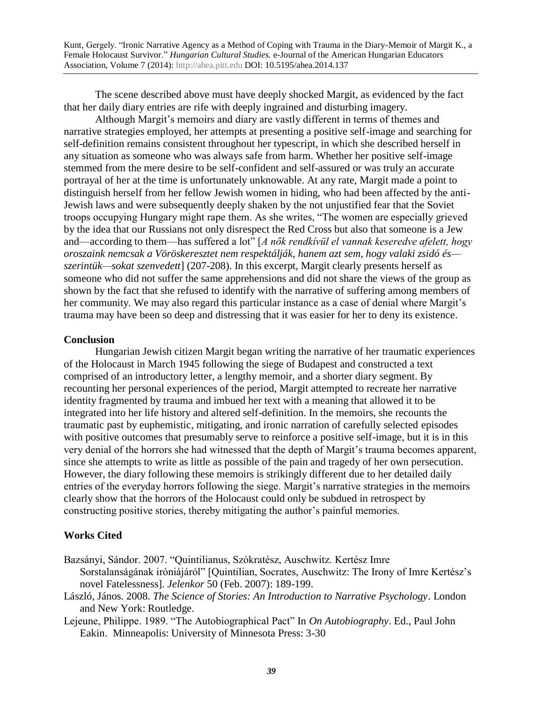The scene described above must have deeply shocked Margit, as evidenced by the fact that her daily diary entries are rife with deeply ingrained and disturbing imagery.

Although Margit's memoirs and diary are vastly different in terms of themes and narrative strategies employed, her attempts at presenting a positive self-image and searching for self-definition remains consistent throughout her typescript, in which she described herself in any situation as someone who was always safe from harm. Whether her positive self-image stemmed from the mere desire to be self-confident and self-assured or was truly an accurate portrayal of her at the time is unfortunately unknowable. At any rate, Margit made a point to distinguish herself from her fellow Jewish women in hiding, who had been affected by the anti-Jewish laws and were subsequently deeply shaken by the not unjustified fear that the Soviet troops occupying Hungary might rape them. As she writes, "The women are especially grieved by the idea that our Russians not only disrespect the Red Cross but also that someone is a Jew and—according to them—has suffered a lot" [*A nők rendkívül el vannak keseredve afelett, hogy oroszaink nemcsak a Vöröskeresztet nem respektálják, hanem azt sem, hogy valaki zsidó és szerintük—sokat szenvedett*] (207-208). In this excerpt, Margit clearly presents herself as someone who did not suffer the same apprehensions and did not share the views of the group as shown by the fact that she refused to identify with the narrative of suffering among members of her community. We may also regard this particular instance as a case of denial where Margit's trauma may have been so deep and distressing that it was easier for her to deny its existence.

## **Conclusion**

Hungarian Jewish citizen Margit began writing the narrative of her traumatic experiences of the Holocaust in March 1945 following the siege of Budapest and constructed a text comprised of an introductory letter, a lengthy memoir, and a shorter diary segment. By recounting her personal experiences of the period, Margit attempted to recreate her narrative identity fragmented by trauma and imbued her text with a meaning that allowed it to be integrated into her life history and altered self-definition. In the memoirs, she recounts the traumatic past by euphemistic, mitigating, and ironic narration of carefully selected episodes with positive outcomes that presumably serve to reinforce a positive self-image, but it is in this very denial of the horrors she had witnessed that the depth of Margit's trauma becomes apparent, since she attempts to write as little as possible of the pain and tragedy of her own persecution. However, the diary following these memoirs is strikingly different due to her detailed daily entries of the everyday horrors following the siege. Margit's narrative strategies in the memoirs clearly show that the horrors of the Holocaust could only be subdued in retrospect by constructing positive stories, thereby mitigating the author's painful memories.

## **Works Cited**

Bazsányi, Sándor. 2007. "Quintilianus, Szókratész, Auschwitz. Kertész Imre Sorstalanságának iróniájáról" [Quintilian, Socrates, Auschwitz: The Irony of Imre Kertész's novel Fatelessness]. *Jelenkor* 50 (Feb. 2007): 189-199.

László, János. 2008. *The Science of Stories: An Introduction to Narrative Psychology*. London and New York: Routledge.

Lejeune, Philippe. 1989. "The Autobiographical Pact" In *On Autobiography*. Ed., Paul John Eakin. Minneapolis: University of Minnesota Press: 3-30